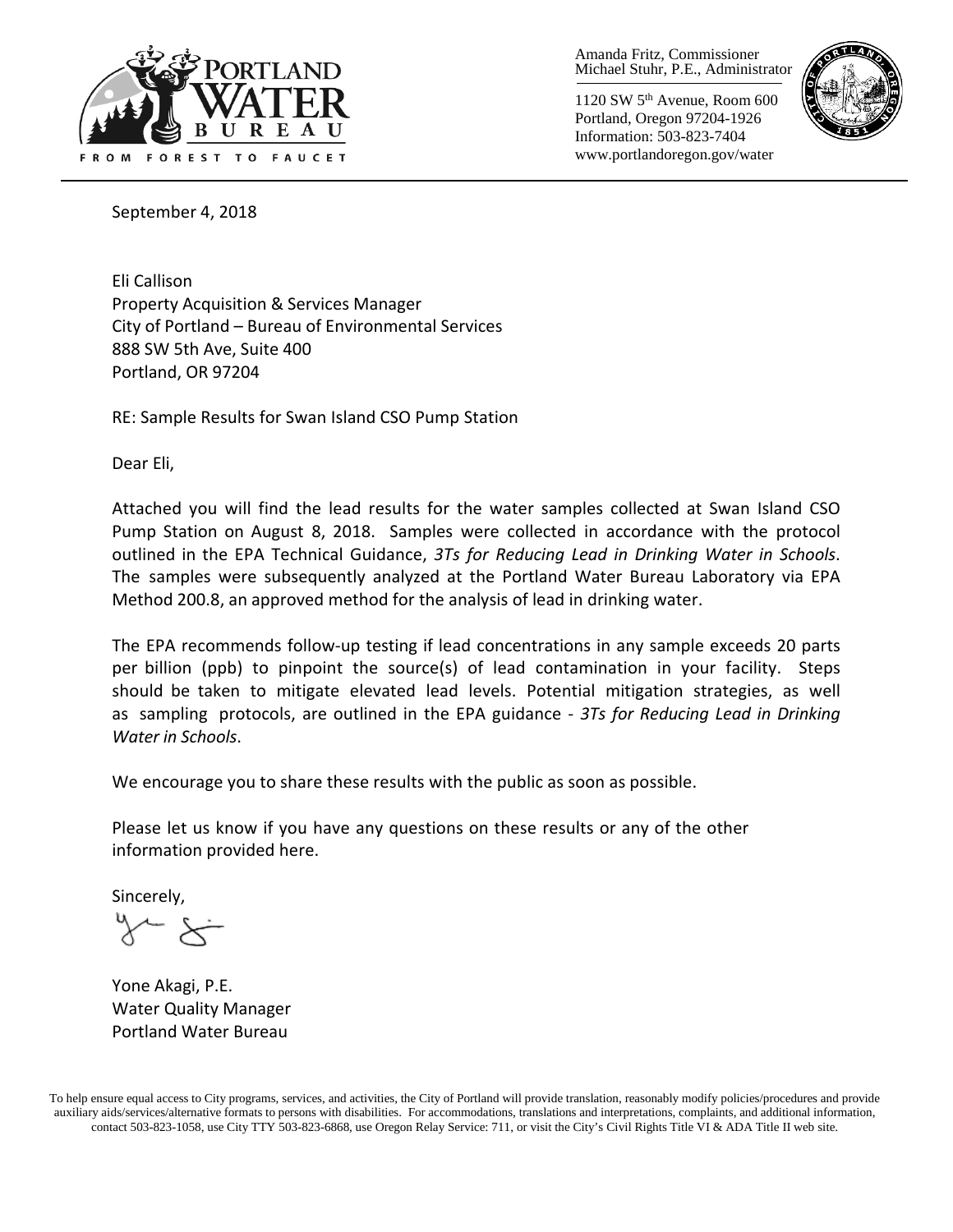

Amanda Fritz, Commissioner Michael Stuhr, P.E., Administrator

1120 SW 5th Avenue, Room 600 Portland, Oregon 97204-1926 Information: 503-823-7404 www.portlandoregon.gov/water



September 4, 2018

Eli Callison Property Acquisition & Services Manager City of Portland – Bureau of Environmental Services 888 SW 5th Ave, Suite 400 Portland, OR 97204

RE: Sample Results for Swan Island CSO Pump Station

Dear Eli,

Attached you will find the lead results for the water samples collected at Swan Island CSO Pump Station on August 8, 2018. Samples were collected in accordance with the protocol outlined in the EPA Technical Guidance, *3Ts for Reducing Lead in Drinking Water in Schools*. The samples were subsequently analyzed at the Portland Water Bureau Laboratory via EPA Method 200.8, an approved method for the analysis of lead in drinking water.

The EPA recommends follow-up testing if lead concentrations in any sample exceeds 20 parts per billion (ppb) to pinpoint the source(s) of lead contamination in your facility. Steps should be taken to mitigate elevated lead levels. Potential mitigation strategies, as well as sampling protocols, are outlined in the EPA guidance - *3Ts for Reducing Lead in Drinking Water in Schools*.

We encourage you to share these results with the public as soon as possible.

Please let us know if you have any questions on these results or any of the other information provided here.

Sincerely,

Yone Akagi, P.E. Water Quality Manager Portland Water Bureau

To help ensure equal access to City programs, services, and activities, the City of Portland will provide translation, reasonably modify policies/procedures and provide auxiliary aids/services/alternative formats to persons with disabilities. For accommodations, translations and interpretations, complaints, and additional information, contact 503-823-1058, use City TTY 503-823-6868, use Oregon Relay Service: 711, or visit the City's Civil Rights [Title VI & ADA Title II web site.](http://www.portlandoregon.gov/oehr/66458)